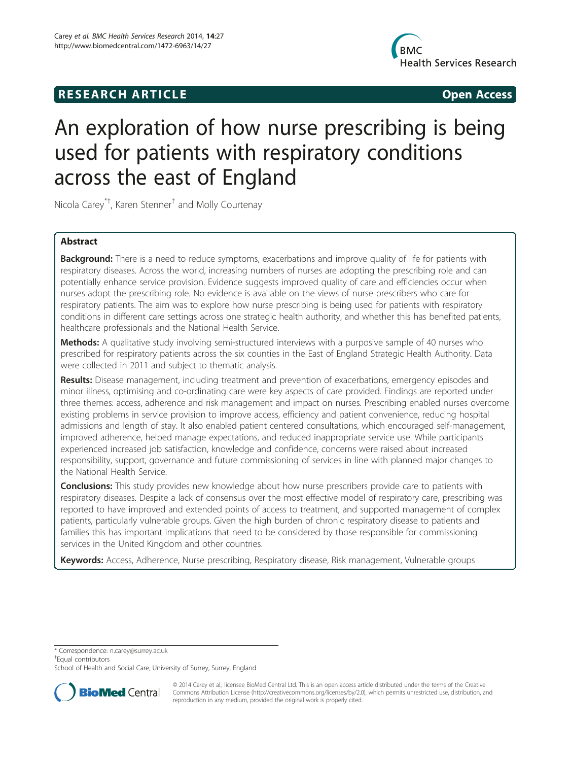# **RESEARCH ARTICLE Example 20 and 20 and 20 and 20 and 20 and 20 and 20 and 20 and 20 and 20 and 20 and 20 and 20 and 20 and 20 and 20 and 20 and 20 and 20 and 20 and 20 and 20 and 20 and 20 and 20 and 20 and 20 and 20 an**



# An exploration of how nurse prescribing is being used for patients with respiratory conditions across the east of England

Nicola Carey\*† , Karen Stenner† and Molly Courtenay

# Abstract

Background: There is a need to reduce symptoms, exacerbations and improve quality of life for patients with respiratory diseases. Across the world, increasing numbers of nurses are adopting the prescribing role and can potentially enhance service provision. Evidence suggests improved quality of care and efficiencies occur when nurses adopt the prescribing role. No evidence is available on the views of nurse prescribers who care for respiratory patients. The aim was to explore how nurse prescribing is being used for patients with respiratory conditions in different care settings across one strategic health authority, and whether this has benefited patients, healthcare professionals and the National Health Service.

**Methods:** A qualitative study involving semi-structured interviews with a purposive sample of 40 nurses who prescribed for respiratory patients across the six counties in the East of England Strategic Health Authority. Data were collected in 2011 and subject to thematic analysis.

Results: Disease management, including treatment and prevention of exacerbations, emergency episodes and minor illness, optimising and co-ordinating care were key aspects of care provided. Findings are reported under three themes: access, adherence and risk management and impact on nurses. Prescribing enabled nurses overcome existing problems in service provision to improve access, efficiency and patient convenience, reducing hospital admissions and length of stay. It also enabled patient centered consultations, which encouraged self-management, improved adherence, helped manage expectations, and reduced inappropriate service use. While participants experienced increased job satisfaction, knowledge and confidence, concerns were raised about increased responsibility, support, governance and future commissioning of services in line with planned major changes to the National Health Service.

**Conclusions:** This study provides new knowledge about how nurse prescribers provide care to patients with respiratory diseases. Despite a lack of consensus over the most effective model of respiratory care, prescribing was reported to have improved and extended points of access to treatment, and supported management of complex patients, particularly vulnerable groups. Given the high burden of chronic respiratory disease to patients and families this has important implications that need to be considered by those responsible for commissioning services in the United Kingdom and other countries.

Keywords: Access, Adherence, Nurse prescribing, Respiratory disease, Risk management, Vulnerable groups

\* Correspondence: [n.carey@surrey.ac.uk](mailto:n.carey@surrey.ac.uk) †

<sup>+</sup>Equal contributors

School of Health and Social Care, University of Surrey, Surrey, England



© 2014 Carey et al.; licensee BioMed Central Ltd. This is an open access article distributed under the terms of the Creative Commons Attribution License [\(http://creativecommons.org/licenses/by/2.0\)](http://creativecommons.org/licenses/by/2.0), which permits unrestricted use, distribution, and reproduction in any medium, provided the original work is properly cited.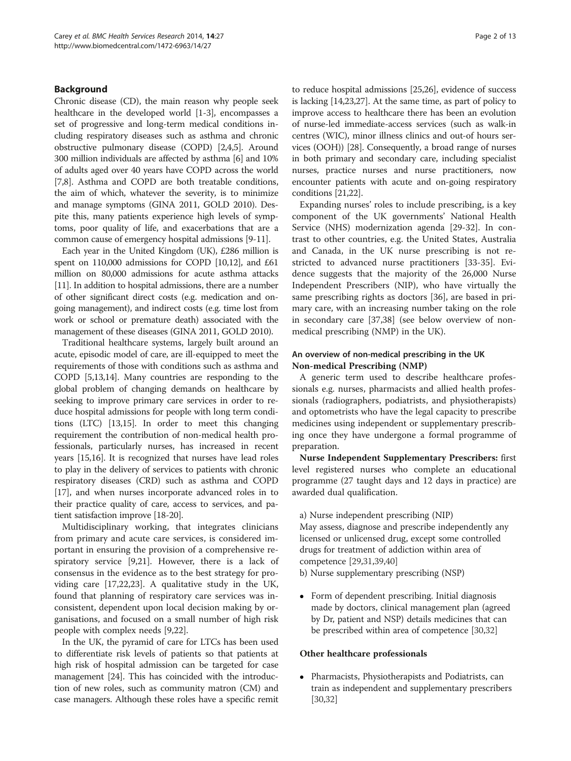#### Background

Chronic disease (CD), the main reason why people seek healthcare in the developed world [\[1-3](#page-10-0)], encompasses a set of progressive and long-term medical conditions including respiratory diseases such as asthma and chronic obstructive pulmonary disease (COPD) [\[2,4,5\]](#page-10-0). Around 300 million individuals are affected by asthma [\[6\]](#page-10-0) and 10% of adults aged over 40 years have COPD across the world [[7,8](#page-11-0)]. Asthma and COPD are both treatable conditions, the aim of which, whatever the severity, is to minimize and manage symptoms (GINA 2011, GOLD 2010). Despite this, many patients experience high levels of symptoms, poor quality of life, and exacerbations that are a common cause of emergency hospital admissions [\[9-11](#page-11-0)].

Each year in the United Kingdom (UK), £286 million is spent on 110,000 admissions for COPD [\[10,12](#page-11-0)], and £61 million on 80,000 admissions for acute asthma attacks [[11](#page-11-0)]. In addition to hospital admissions, there are a number of other significant direct costs (e.g. medication and ongoing management), and indirect costs (e.g. time lost from work or school or premature death) associated with the management of these diseases (GINA 2011, GOLD 2010).

Traditional healthcare systems, largely built around an acute, episodic model of care, are ill-equipped to meet the requirements of those with conditions such as asthma and COPD [\[5](#page-10-0)[,13,14](#page-11-0)]. Many countries are responding to the global problem of changing demands on healthcare by seeking to improve primary care services in order to reduce hospital admissions for people with long term conditions (LTC) [\[13,15](#page-11-0)]. In order to meet this changing requirement the contribution of non-medical health professionals, particularly nurses, has increased in recent years [[15,16](#page-11-0)]. It is recognized that nurses have lead roles to play in the delivery of services to patients with chronic respiratory diseases (CRD) such as asthma and COPD [[17](#page-11-0)], and when nurses incorporate advanced roles in to their practice quality of care, access to services, and patient satisfaction improve [\[18-20](#page-11-0)].

Multidisciplinary working, that integrates clinicians from primary and acute care services, is considered important in ensuring the provision of a comprehensive respiratory service [[9](#page-11-0),[21](#page-11-0)]. However, there is a lack of consensus in the evidence as to the best strategy for providing care [\[17,22,23\]](#page-11-0). A qualitative study in the UK, found that planning of respiratory care services was inconsistent, dependent upon local decision making by organisations, and focused on a small number of high risk people with complex needs [\[9,22](#page-11-0)].

In the UK, the pyramid of care for LTCs has been used to differentiate risk levels of patients so that patients at high risk of hospital admission can be targeted for case management [\[24\]](#page-11-0). This has coincided with the introduction of new roles, such as community matron (CM) and case managers. Although these roles have a specific remit to reduce hospital admissions [[25,26](#page-11-0)], evidence of success is lacking [\[14,23,27\]](#page-11-0). At the same time, as part of policy to improve access to healthcare there has been an evolution of nurse-led immediate-access services (such as walk-in centres (WIC), minor illness clinics and out-of hours services (OOH)) [\[28\]](#page-11-0). Consequently, a broad range of nurses in both primary and secondary care, including specialist nurses, practice nurses and nurse practitioners, now encounter patients with acute and on-going respiratory conditions [\[21,22](#page-11-0)].

Expanding nurses' roles to include prescribing, is a key component of the UK governments' National Health Service (NHS) modernization agenda [\[29](#page-11-0)-[32\]](#page-11-0). In contrast to other countries, e.g. the United States, Australia and Canada, in the UK nurse prescribing is not restricted to advanced nurse practitioners [\[33-35](#page-11-0)]. Evidence suggests that the majority of the 26,000 Nurse Independent Prescribers (NIP), who have virtually the same prescribing rights as doctors [\[36\]](#page-11-0), are based in primary care, with an increasing number taking on the role in secondary care [\[37,38](#page-11-0)] (see below overview of nonmedical prescribing (NMP) in the UK).

#### An overview of non-medical prescribing in the UK Non-medical Prescribing (NMP)

A generic term used to describe healthcare professionals e.g. nurses, pharmacists and allied health professionals (radiographers, podiatrists, and physiotherapists) and optometrists who have the legal capacity to prescribe medicines using independent or supplementary prescribing once they have undergone a formal programme of preparation.

Nurse Independent Supplementary Prescribers: first level registered nurses who complete an educational programme (27 taught days and 12 days in practice) are awarded dual qualification.

a) Nurse independent prescribing (NIP)

May assess, diagnose and prescribe independently any licensed or unlicensed drug, except some controlled drugs for treatment of addiction within area of competence [\[29,31,39,40](#page-11-0)]

- b) Nurse supplementary prescribing (NSP)
- Form of dependent prescribing. Initial diagnosis made by doctors, clinical management plan (agreed by Dr, patient and NSP) details medicines that can be prescribed within area of competence [[30](#page-11-0),[32](#page-11-0)]

#### Other healthcare professionals

• Pharmacists, Physiotherapists and Podiatrists, can train as independent and supplementary prescribers [[30](#page-11-0),[32](#page-11-0)]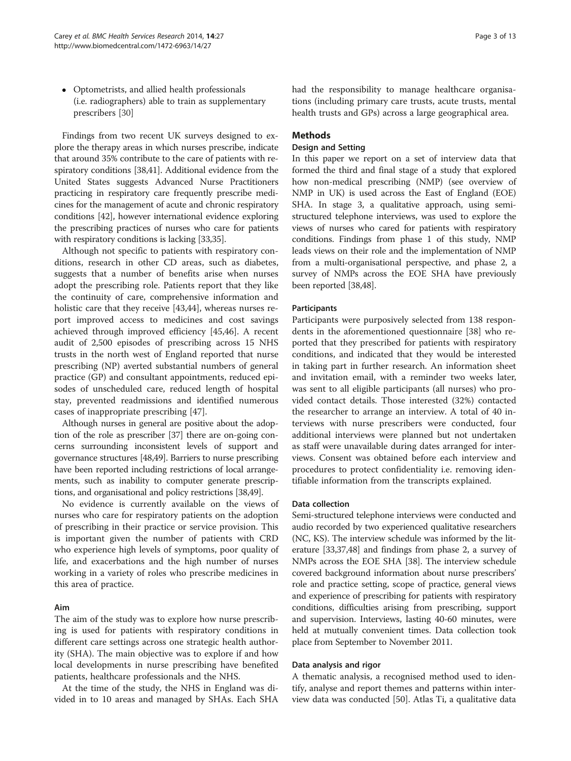Optometrists, and allied health professionals (i.e. radiographers) able to train as supplementary prescribers [[30](#page-11-0)]

Findings from two recent UK surveys designed to explore the therapy areas in which nurses prescribe, indicate that around 35% contribute to the care of patients with respiratory conditions [[38,41](#page-11-0)]. Additional evidence from the United States suggests Advanced Nurse Practitioners practicing in respiratory care frequently prescribe medicines for the management of acute and chronic respiratory conditions [\[42\]](#page-11-0), however international evidence exploring the prescribing practices of nurses who care for patients with respiratory conditions is lacking [[33,35\]](#page-11-0).

Although not specific to patients with respiratory conditions, research in other CD areas, such as diabetes, suggests that a number of benefits arise when nurses adopt the prescribing role. Patients report that they like the continuity of care, comprehensive information and holistic care that they receive [\[43,44](#page-11-0)], whereas nurses report improved access to medicines and cost savings achieved through improved efficiency [\[45,46\]](#page-11-0). A recent audit of 2,500 episodes of prescribing across 15 NHS trusts in the north west of England reported that nurse prescribing (NP) averted substantial numbers of general practice (GP) and consultant appointments, reduced episodes of unscheduled care, reduced length of hospital stay, prevented readmissions and identified numerous cases of inappropriate prescribing [[47\]](#page-11-0).

Although nurses in general are positive about the adoption of the role as prescriber [[37](#page-11-0)] there are on-going concerns surrounding inconsistent levels of support and governance structures [\[48,49](#page-11-0)]. Barriers to nurse prescribing have been reported including restrictions of local arrangements, such as inability to computer generate prescriptions, and organisational and policy restrictions [[38,49\]](#page-11-0).

No evidence is currently available on the views of nurses who care for respiratory patients on the adoption of prescribing in their practice or service provision. This is important given the number of patients with CRD who experience high levels of symptoms, poor quality of life, and exacerbations and the high number of nurses working in a variety of roles who prescribe medicines in this area of practice.

#### Aim

The aim of the study was to explore how nurse prescribing is used for patients with respiratory conditions in different care settings across one strategic health authority (SHA). The main objective was to explore if and how local developments in nurse prescribing have benefited patients, healthcare professionals and the NHS.

At the time of the study, the NHS in England was divided in to 10 areas and managed by SHAs. Each SHA had the responsibility to manage healthcare organisations (including primary care trusts, acute trusts, mental health trusts and GPs) across a large geographical area.

## Methods

#### Design and Setting

In this paper we report on a set of interview data that formed the third and final stage of a study that explored how non-medical prescribing (NMP) (see overview of NMP in UK) is used across the East of England (EOE) SHA. In stage 3, a qualitative approach, using semistructured telephone interviews, was used to explore the views of nurses who cared for patients with respiratory conditions. Findings from phase 1 of this study, NMP leads views on their role and the implementation of NMP from a multi-organisational perspective, and phase 2, a survey of NMPs across the EOE SHA have previously been reported [\[38,48](#page-11-0)].

#### Participants

Participants were purposively selected from 138 respondents in the aforementioned questionnaire [\[38\]](#page-11-0) who reported that they prescribed for patients with respiratory conditions, and indicated that they would be interested in taking part in further research. An information sheet and invitation email, with a reminder two weeks later, was sent to all eligible participants (all nurses) who provided contact details. Those interested (32%) contacted the researcher to arrange an interview. A total of 40 interviews with nurse prescribers were conducted, four additional interviews were planned but not undertaken as staff were unavailable during dates arranged for interviews. Consent was obtained before each interview and procedures to protect confidentiality i.e. removing identifiable information from the transcripts explained.

#### Data collection

Semi-structured telephone interviews were conducted and audio recorded by two experienced qualitative researchers (NC, KS). The interview schedule was informed by the literature [[33,37,48\]](#page-11-0) and findings from phase 2, a survey of NMPs across the EOE SHA [[38](#page-11-0)]. The interview schedule covered background information about nurse prescribers' role and practice setting, scope of practice, general views and experience of prescribing for patients with respiratory conditions, difficulties arising from prescribing, support and supervision. Interviews, lasting 40-60 minutes, were held at mutually convenient times. Data collection took place from September to November 2011.

#### Data analysis and rigor

A thematic analysis, a recognised method used to identify, analyse and report themes and patterns within interview data was conducted [[50\]](#page-11-0). Atlas Ti, a qualitative data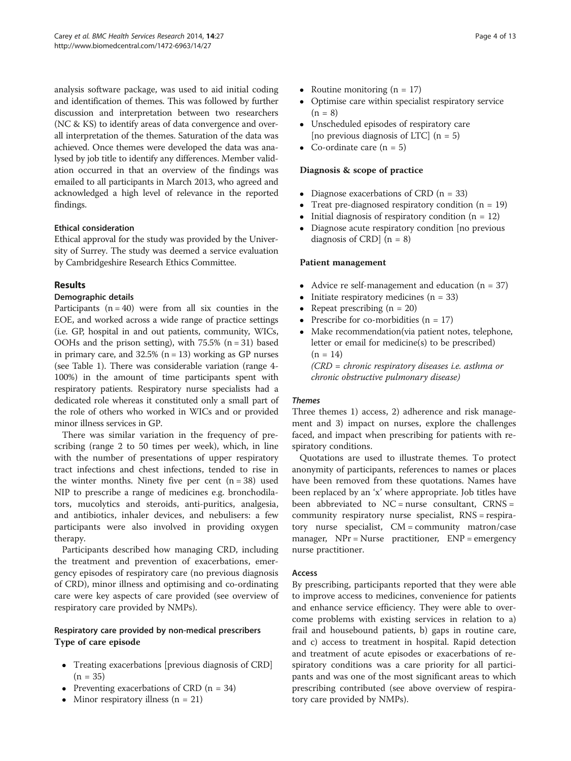analysis software package, was used to aid initial coding and identification of themes. This was followed by further discussion and interpretation between two researchers (NC & KS) to identify areas of data convergence and overall interpretation of the themes. Saturation of the data was achieved. Once themes were developed the data was analysed by job title to identify any differences. Member validation occurred in that an overview of the findings was emailed to all participants in March 2013, who agreed and acknowledged a high level of relevance in the reported findings.

# Ethical consideration

Ethical approval for the study was provided by the University of Surrey. The study was deemed a service evaluation by Cambridgeshire Research Ethics Committee.

# Results

#### Demographic details

Participants  $(n = 40)$  were from all six counties in the EOE, and worked across a wide range of practice settings (i.e. GP, hospital in and out patients, community, WICs, OOHs and the prison setting), with  $75.5\%$  (n = 31) based in primary care, and  $32.5\%$  (n = 13) working as GP nurses (see Table [1\)](#page-4-0). There was considerable variation (range 4- 100%) in the amount of time participants spent with respiratory patients. Respiratory nurse specialists had a dedicated role whereas it constituted only a small part of the role of others who worked in WICs and or provided minor illness services in GP.

There was similar variation in the frequency of prescribing (range 2 to 50 times per week), which, in line with the number of presentations of upper respiratory tract infections and chest infections, tended to rise in the winter months. Ninety five per cent  $(n = 38)$  used NIP to prescribe a range of medicines e.g. bronchodilators, mucolytics and steroids, anti-puritics, analgesia, and antibiotics, inhaler devices, and nebulisers: a few participants were also involved in providing oxygen therapy.

Participants described how managing CRD, including the treatment and prevention of exacerbations, emergency episodes of respiratory care (no previous diagnosis of CRD), minor illness and optimising and co-ordinating care were key aspects of care provided (see overview of respiratory care provided by NMPs).

# Respiratory care provided by non-medical prescribers Type of care episode

- Treating exacerbations [previous diagnosis of CRD]  $(n = 35)$
- Preventing exacerbations of CRD  $(n = 34)$
- Minor respiratory illness  $(n = 21)$
- Routine monitoring  $(n = 17)$ <br>• Optimise care within speciali
- Optimise care within specialist respiratory service  $(n = 8)$
- Unscheduled episodes of respiratory care [no previous diagnosis of LTC]  $(n = 5)$
- Co-ordinate care  $(n = 5)$

# Diagnosis & scope of practice

- Diagnose exacerbations of CRD  $(n = 33)$
- Treat pre-diagnosed respiratory condition  $(n = 19)$ <br>• Initial diagnosis of respiratory condition  $(n = 12)$
- Initial diagnosis of respiratory condition  $(n = 12)$
- Diagnose acute respiratory condition [no previous diagnosis of CRD $(n = 8)$

#### Patient management

- Advice re self-management and education (n = 37)<br>• Initiate respiratory medicines (n = 33)
- Initiate respiratory medicines (n = 33)<br>• Repeat prescribing (n = 20)
- Repeat prescribing  $(n = 20)$ <br>• Prescribe for co-morbidities
- Prescribe for co-morbidities  $(n = 17)$
- Make recommendation(via patient notes, telephone, letter or email for medicine(s) to be prescribed)  $(n = 14)$

(CRD = chronic respiratory diseases i.e. asthma or chronic obstructive pulmonary disease)

#### Themes

Three themes 1) access, 2) adherence and risk management and 3) impact on nurses, explore the challenges faced, and impact when prescribing for patients with respiratory conditions.

Quotations are used to illustrate themes. To protect anonymity of participants, references to names or places have been removed from these quotations. Names have been replaced by an 'x' where appropriate. Job titles have been abbreviated to  $NC =$  nurse consultant,  $CRNS =$ community respiratory nurse specialist, RNS = respiratory nurse specialist, CM = community matron/case manager, NPr = Nurse practitioner, ENP = emergency nurse practitioner.

#### Access

By prescribing, participants reported that they were able to improve access to medicines, convenience for patients and enhance service efficiency. They were able to overcome problems with existing services in relation to a) frail and housebound patients, b) gaps in routine care, and c) access to treatment in hospital. Rapid detection and treatment of acute episodes or exacerbations of respiratory conditions was a care priority for all participants and was one of the most significant areas to which prescribing contributed (see above overview of respiratory care provided by NMPs).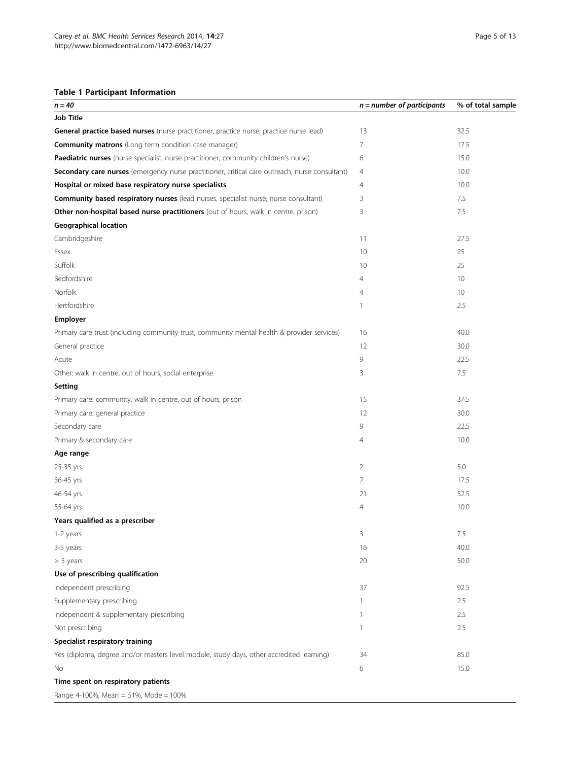# <span id="page-4-0"></span>Table 1 Participant Information

| $n = 40$                                                                                       | $n =$ number of participants | % of total sample |
|------------------------------------------------------------------------------------------------|------------------------------|-------------------|
| <b>Job Title</b>                                                                               |                              |                   |
| General practice based nurses (nurse practitioner, practice nurse, practice nurse lead)        | 13                           | 32.5              |
| <b>Community matrons</b> (Long term condition case manager)                                    | 7                            | 17.5              |
| Paediatric nurses (nurse specialist, nurse practitioner, community children's nurse)           | 6                            | 15.0              |
| Secondary care nurses (emergency nurse practitioner, critical care outreach, nurse consultant) | 4                            | 10.0              |
| Hospital or mixed base respiratory nurse specialists                                           | 4                            | 10.0              |
| Community based respiratory nurses (lead nurses, specialist nurse, nurse consultant)           | 3                            | 7.5               |
| Other non-hospital based nurse practitioners (out of hours, walk in centre, prison)            | 3                            | 7.5               |
| <b>Geographical location</b>                                                                   |                              |                   |
| Cambridgeshire                                                                                 | 11                           | 27.5              |
| Essex                                                                                          | 10                           | 25                |
| Suffolk                                                                                        | 10                           | 25                |
| Bedfordshire                                                                                   | 4                            | 10                |
| Norfolk                                                                                        | 4                            | 10                |
| Hertfordshire                                                                                  | 1                            | 2.5               |
| Employer                                                                                       |                              |                   |
| Primary care trust (including community trust, community mental health & provider services)    | 16                           | 40.0              |
| General practice                                                                               | 12                           | 30.0              |
| Acute                                                                                          | 9                            | 22.5              |
| Other: walk in centre, out of hours, social enterprise                                         | 3                            | 7.5               |
| Setting                                                                                        |                              |                   |
| Primary care: community, walk in centre, out of hours, prison                                  | 15                           | 37.5              |
| Primary care: general practice                                                                 | 12                           | 30.0              |
| Secondary care                                                                                 | 9                            | 22.5              |
| Primary & secondary care                                                                       | 4                            | 10.0              |
| Age range                                                                                      |                              |                   |
| 25-35 yrs                                                                                      | $\overline{2}$               | 5.0               |
| 36-45 yrs                                                                                      | 7                            | 17.5              |
| 46-54 yrs                                                                                      | 21                           | 52.5              |
| 55-64 yrs                                                                                      | 4                            | 10.0              |
| Years qualified as a prescriber                                                                |                              |                   |
| 1-2 years                                                                                      | 3                            | 7.5               |
| 3-5 years                                                                                      | 16                           | 40.0              |
| $> 5$ years                                                                                    | 20                           | 50.0              |
| Use of prescribing qualification                                                               |                              |                   |
| Independent prescribing                                                                        | 37                           | 92.5              |
| Supplementary prescribing                                                                      | 1                            | 2.5               |
| Independent & supplementary prescribing                                                        | 1                            | 2.5               |
| Not prescribing                                                                                | 1                            | 2.5               |
| Specialist respiratory training                                                                |                              |                   |
| Yes (diploma, degree and/or masters level module, study days, other accredited learning)       | 34                           | 85.0              |
| No                                                                                             | 6                            | 15.0              |
| Time spent on respiratory patients                                                             |                              |                   |
| Range 4-100%, Mean = 51%, Mode = 100%                                                          |                              |                   |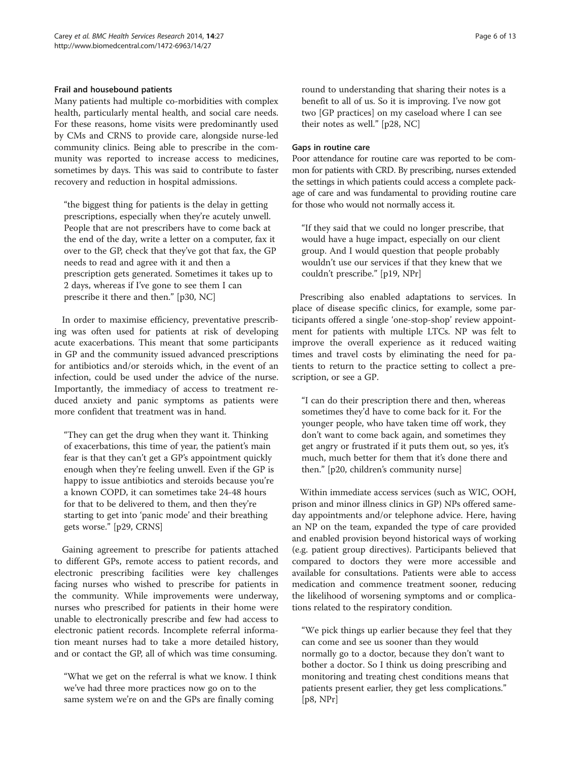#### Frail and housebound patients

Many patients had multiple co-morbidities with complex health, particularly mental health, and social care needs. For these reasons, home visits were predominantly used by CMs and CRNS to provide care, alongside nurse-led community clinics. Being able to prescribe in the community was reported to increase access to medicines, sometimes by days. This was said to contribute to faster recovery and reduction in hospital admissions.

"the biggest thing for patients is the delay in getting prescriptions, especially when they're acutely unwell. People that are not prescribers have to come back at the end of the day, write a letter on a computer, fax it over to the GP, check that they've got that fax, the GP needs to read and agree with it and then a prescription gets generated. Sometimes it takes up to 2 days, whereas if I've gone to see them I can prescribe it there and then." [p30, NC]

In order to maximise efficiency, preventative prescribing was often used for patients at risk of developing acute exacerbations. This meant that some participants in GP and the community issued advanced prescriptions for antibiotics and/or steroids which, in the event of an infection, could be used under the advice of the nurse. Importantly, the immediacy of access to treatment reduced anxiety and panic symptoms as patients were more confident that treatment was in hand.

"They can get the drug when they want it. Thinking of exacerbations, this time of year, the patient's main fear is that they can't get a GP's appointment quickly enough when they're feeling unwell. Even if the GP is happy to issue antibiotics and steroids because you're a known COPD, it can sometimes take 24-48 hours for that to be delivered to them, and then they're starting to get into 'panic mode' and their breathing gets worse." [p29, CRNS]

Gaining agreement to prescribe for patients attached to different GPs, remote access to patient records, and electronic prescribing facilities were key challenges facing nurses who wished to prescribe for patients in the community. While improvements were underway, nurses who prescribed for patients in their home were unable to electronically prescribe and few had access to electronic patient records. Incomplete referral information meant nurses had to take a more detailed history, and or contact the GP, all of which was time consuming.

"What we get on the referral is what we know. I think we've had three more practices now go on to the same system we're on and the GPs are finally coming

round to understanding that sharing their notes is a benefit to all of us. So it is improving. I've now got two [GP practices] on my caseload where I can see their notes as well." [p28, NC]

#### Gaps in routine care

Poor attendance for routine care was reported to be common for patients with CRD. By prescribing, nurses extended the settings in which patients could access a complete package of care and was fundamental to providing routine care for those who would not normally access it.

"If they said that we could no longer prescribe, that would have a huge impact, especially on our client group. And I would question that people probably wouldn't use our services if that they knew that we couldn't prescribe." [p19, NPr]

Prescribing also enabled adaptations to services. In place of disease specific clinics, for example, some participants offered a single 'one-stop-shop' review appointment for patients with multiple LTCs. NP was felt to improve the overall experience as it reduced waiting times and travel costs by eliminating the need for patients to return to the practice setting to collect a prescription, or see a GP.

"I can do their prescription there and then, whereas sometimes they'd have to come back for it. For the younger people, who have taken time off work, they don't want to come back again, and sometimes they get angry or frustrated if it puts them out, so yes, it's much, much better for them that it's done there and then." [p20, children's community nurse]

Within immediate access services (such as WIC, OOH, prison and minor illness clinics in GP) NPs offered sameday appointments and/or telephone advice. Here, having an NP on the team, expanded the type of care provided and enabled provision beyond historical ways of working (e.g. patient group directives). Participants believed that compared to doctors they were more accessible and available for consultations. Patients were able to access medication and commence treatment sooner, reducing the likelihood of worsening symptoms and or complications related to the respiratory condition.

"We pick things up earlier because they feel that they can come and see us sooner than they would normally go to a doctor, because they don't want to bother a doctor. So I think us doing prescribing and monitoring and treating chest conditions means that patients present earlier, they get less complications." [p8, NPr]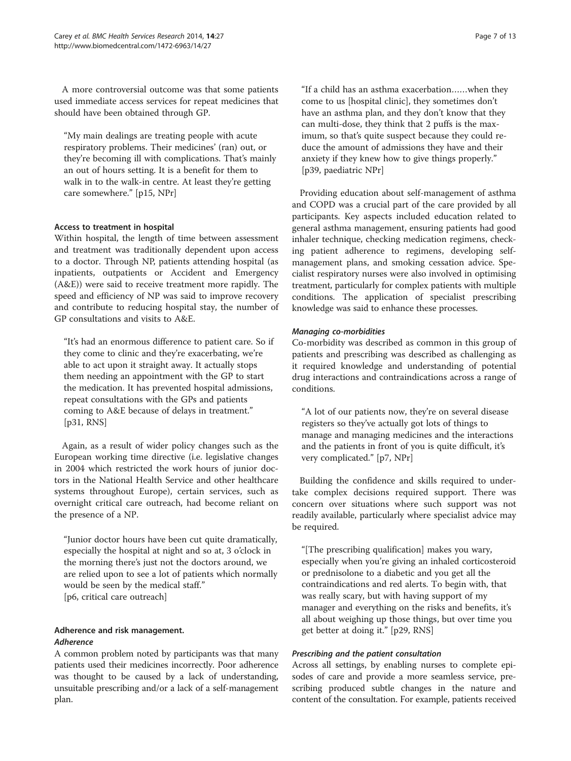A more controversial outcome was that some patients used immediate access services for repeat medicines that should have been obtained through GP.

"My main dealings are treating people with acute respiratory problems. Their medicines' (ran) out, or they're becoming ill with complications. That's mainly an out of hours setting. It is a benefit for them to walk in to the walk-in centre. At least they're getting care somewhere." [p15, NPr]

#### Access to treatment in hospital

Within hospital, the length of time between assessment and treatment was traditionally dependent upon access to a doctor. Through NP, patients attending hospital (as inpatients, outpatients or Accident and Emergency (A&E)) were said to receive treatment more rapidly. The speed and efficiency of NP was said to improve recovery and contribute to reducing hospital stay, the number of GP consultations and visits to A&E.

"It's had an enormous difference to patient care. So if they come to clinic and they're exacerbating, we're able to act upon it straight away. It actually stops them needing an appointment with the GP to start the medication. It has prevented hospital admissions, repeat consultations with the GPs and patients coming to A&E because of delays in treatment." [p31, RNS]

Again, as a result of wider policy changes such as the European working time directive (i.e. legislative changes in 2004 which restricted the work hours of junior doctors in the National Health Service and other healthcare systems throughout Europe), certain services, such as overnight critical care outreach, had become reliant on the presence of a NP.

"Junior doctor hours have been cut quite dramatically, especially the hospital at night and so at, 3 o'clock in the morning there's just not the doctors around, we are relied upon to see a lot of patients which normally would be seen by the medical staff." [p6, critical care outreach]

# Adherence and risk management. Adherence

A common problem noted by participants was that many patients used their medicines incorrectly. Poor adherence was thought to be caused by a lack of understanding, unsuitable prescribing and/or a lack of a self-management plan.

"If a child has an asthma exacerbation……when they come to us [hospital clinic], they sometimes don't have an asthma plan, and they don't know that they can multi-dose, they think that 2 puffs is the maximum, so that's quite suspect because they could reduce the amount of admissions they have and their anxiety if they knew how to give things properly." [p39, paediatric NPr]

Providing education about self-management of asthma and COPD was a crucial part of the care provided by all participants. Key aspects included education related to general asthma management, ensuring patients had good inhaler technique, checking medication regimens, checking patient adherence to regimens, developing selfmanagement plans, and smoking cessation advice. Specialist respiratory nurses were also involved in optimising treatment, particularly for complex patients with multiple conditions. The application of specialist prescribing knowledge was said to enhance these processes.

#### Managing co-morbidities

Co-morbidity was described as common in this group of patients and prescribing was described as challenging as it required knowledge and understanding of potential drug interactions and contraindications across a range of conditions.

"A lot of our patients now, they're on several disease registers so they've actually got lots of things to manage and managing medicines and the interactions and the patients in front of you is quite difficult, it's very complicated." [p7, NPr]

Building the confidence and skills required to undertake complex decisions required support. There was concern over situations where such support was not readily available, particularly where specialist advice may be required.

"[The prescribing qualification] makes you wary, especially when you're giving an inhaled corticosteroid or prednisolone to a diabetic and you get all the contraindications and red alerts. To begin with, that was really scary, but with having support of my manager and everything on the risks and benefits, it's all about weighing up those things, but over time you get better at doing it." [p29, RNS]

#### Prescribing and the patient consultation

Across all settings, by enabling nurses to complete episodes of care and provide a more seamless service, prescribing produced subtle changes in the nature and content of the consultation. For example, patients received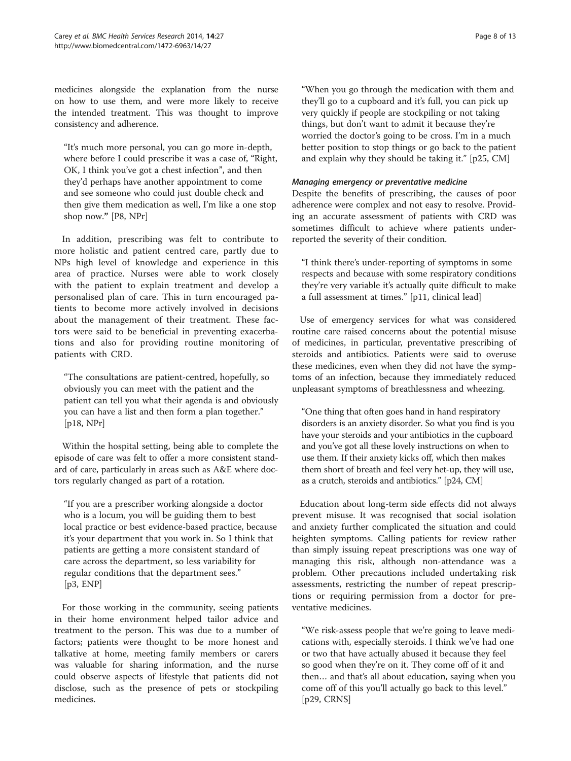medicines alongside the explanation from the nurse on how to use them, and were more likely to receive the intended treatment. This was thought to improve consistency and adherence.

"It's much more personal, you can go more in-depth, where before I could prescribe it was a case of, "Right, OK, I think you've got a chest infection", and then they'd perhaps have another appointment to come and see someone who could just double check and then give them medication as well, I'm like a one stop shop now." [P8, NPr]

In addition, prescribing was felt to contribute to more holistic and patient centred care, partly due to NPs high level of knowledge and experience in this area of practice. Nurses were able to work closely with the patient to explain treatment and develop a personalised plan of care. This in turn encouraged patients to become more actively involved in decisions about the management of their treatment. These factors were said to be beneficial in preventing exacerbations and also for providing routine monitoring of patients with CRD.

"The consultations are patient-centred, hopefully, so obviously you can meet with the patient and the patient can tell you what their agenda is and obviously you can have a list and then form a plan together." [p18, NPr]

Within the hospital setting, being able to complete the episode of care was felt to offer a more consistent standard of care, particularly in areas such as A&E where doctors regularly changed as part of a rotation.

"If you are a prescriber working alongside a doctor who is a locum, you will be guiding them to best local practice or best evidence-based practice, because it's your department that you work in. So I think that patients are getting a more consistent standard of care across the department, so less variability for regular conditions that the department sees." [p3, ENP]

For those working in the community, seeing patients in their home environment helped tailor advice and treatment to the person. This was due to a number of factors; patients were thought to be more honest and talkative at home, meeting family members or carers was valuable for sharing information, and the nurse could observe aspects of lifestyle that patients did not disclose, such as the presence of pets or stockpiling medicines.

"When you go through the medication with them and they'll go to a cupboard and it's full, you can pick up very quickly if people are stockpiling or not taking things, but don't want to admit it because they're worried the doctor's going to be cross. I'm in a much better position to stop things or go back to the patient and explain why they should be taking it." [p25, CM]

#### Managing emergency or preventative medicine

Despite the benefits of prescribing, the causes of poor adherence were complex and not easy to resolve. Providing an accurate assessment of patients with CRD was sometimes difficult to achieve where patients underreported the severity of their condition.

"I think there's under-reporting of symptoms in some respects and because with some respiratory conditions they're very variable it's actually quite difficult to make a full assessment at times." [p11, clinical lead]

Use of emergency services for what was considered routine care raised concerns about the potential misuse of medicines, in particular, preventative prescribing of steroids and antibiotics. Patients were said to overuse these medicines, even when they did not have the symptoms of an infection, because they immediately reduced unpleasant symptoms of breathlessness and wheezing.

"One thing that often goes hand in hand respiratory disorders is an anxiety disorder. So what you find is you have your steroids and your antibiotics in the cupboard and you've got all these lovely instructions on when to use them. If their anxiety kicks off, which then makes them short of breath and feel very het-up, they will use, as a crutch, steroids and antibiotics." [p24, CM]

Education about long-term side effects did not always prevent misuse. It was recognised that social isolation and anxiety further complicated the situation and could heighten symptoms. Calling patients for review rather than simply issuing repeat prescriptions was one way of managing this risk, although non-attendance was a problem. Other precautions included undertaking risk assessments, restricting the number of repeat prescriptions or requiring permission from a doctor for preventative medicines.

"We risk-assess people that we're going to leave medications with, especially steroids. I think we've had one or two that have actually abused it because they feel so good when they're on it. They come off of it and then… and that's all about education, saying when you come off of this you'll actually go back to this level." [p29, CRNS]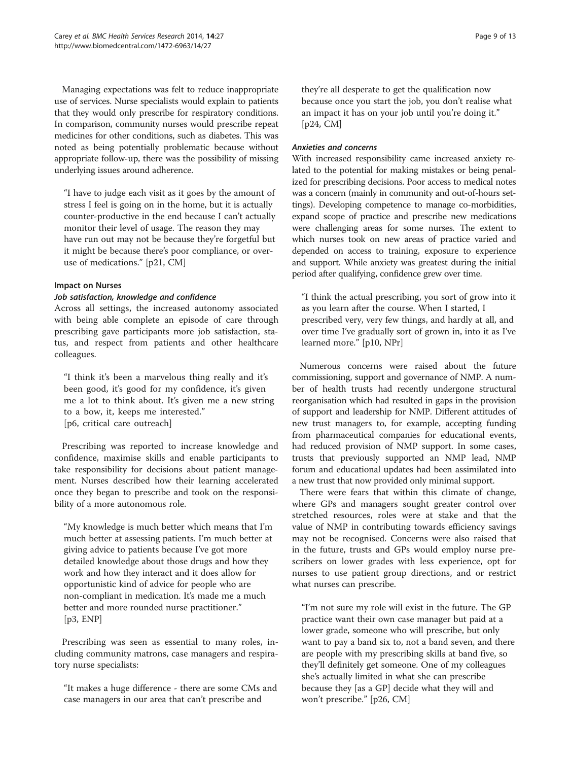Managing expectations was felt to reduce inappropriate use of services. Nurse specialists would explain to patients that they would only prescribe for respiratory conditions. In comparison, community nurses would prescribe repeat medicines for other conditions, such as diabetes. This was noted as being potentially problematic because without appropriate follow-up, there was the possibility of missing underlying issues around adherence.

"I have to judge each visit as it goes by the amount of stress I feel is going on in the home, but it is actually counter-productive in the end because I can't actually monitor their level of usage. The reason they may have run out may not be because they're forgetful but it might be because there's poor compliance, or overuse of medications." [p21, CM]

#### Impact on Nurses

#### Job satisfaction, knowledge and confidence

Across all settings, the increased autonomy associated with being able complete an episode of care through prescribing gave participants more job satisfaction, status, and respect from patients and other healthcare colleagues.

"I think it's been a marvelous thing really and it's been good, it's good for my confidence, it's given me a lot to think about. It's given me a new string to a bow, it, keeps me interested." [p6, critical care outreach]

Prescribing was reported to increase knowledge and confidence, maximise skills and enable participants to take responsibility for decisions about patient management. Nurses described how their learning accelerated once they began to prescribe and took on the responsibility of a more autonomous role.

"My knowledge is much better which means that I'm much better at assessing patients. I'm much better at giving advice to patients because I've got more detailed knowledge about those drugs and how they work and how they interact and it does allow for opportunistic kind of advice for people who are non-compliant in medication. It's made me a much better and more rounded nurse practitioner." [p3, ENP]

Prescribing was seen as essential to many roles, including community matrons, case managers and respiratory nurse specialists:

"It makes a huge difference - there are some CMs and case managers in our area that can't prescribe and

they're all desperate to get the qualification now because once you start the job, you don't realise what an impact it has on your job until you're doing it." [p24, CM]

#### Anxieties and concerns

With increased responsibility came increased anxiety related to the potential for making mistakes or being penalized for prescribing decisions. Poor access to medical notes was a concern (mainly in community and out-of-hours settings). Developing competence to manage co-morbidities, expand scope of practice and prescribe new medications were challenging areas for some nurses. The extent to which nurses took on new areas of practice varied and depended on access to training, exposure to experience and support. While anxiety was greatest during the initial period after qualifying, confidence grew over time.

"I think the actual prescribing, you sort of grow into it as you learn after the course. When I started, I prescribed very, very few things, and hardly at all, and over time I've gradually sort of grown in, into it as I've learned more." [p10, NPr]

Numerous concerns were raised about the future commissioning, support and governance of NMP. A number of health trusts had recently undergone structural reorganisation which had resulted in gaps in the provision of support and leadership for NMP. Different attitudes of new trust managers to, for example, accepting funding from pharmaceutical companies for educational events, had reduced provision of NMP support. In some cases, trusts that previously supported an NMP lead, NMP forum and educational updates had been assimilated into a new trust that now provided only minimal support.

There were fears that within this climate of change, where GPs and managers sought greater control over stretched resources, roles were at stake and that the value of NMP in contributing towards efficiency savings may not be recognised. Concerns were also raised that in the future, trusts and GPs would employ nurse prescribers on lower grades with less experience, opt for nurses to use patient group directions, and or restrict what nurses can prescribe.

"I'm not sure my role will exist in the future. The GP practice want their own case manager but paid at a lower grade, someone who will prescribe, but only want to pay a band six to, not a band seven, and there are people with my prescribing skills at band five, so they'll definitely get someone. One of my colleagues she's actually limited in what she can prescribe because they [as a GP] decide what they will and won't prescribe." [p26, CM]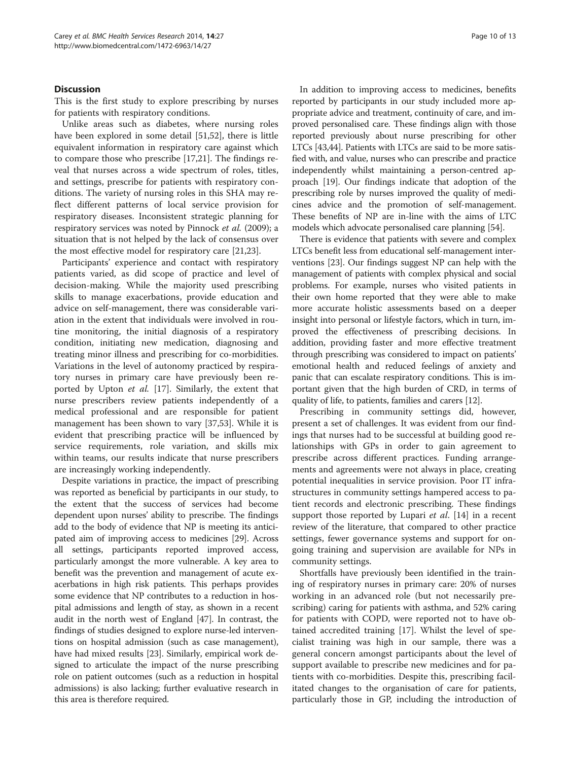#### **Discussion**

This is the first study to explore prescribing by nurses for patients with respiratory conditions.

Unlike areas such as diabetes, where nursing roles have been explored in some detail [[51,52\]](#page-11-0), there is little equivalent information in respiratory care against which to compare those who prescribe [\[17,21](#page-11-0)]. The findings reveal that nurses across a wide spectrum of roles, titles, and settings, prescribe for patients with respiratory conditions. The variety of nursing roles in this SHA may reflect different patterns of local service provision for respiratory diseases. Inconsistent strategic planning for respiratory services was noted by Pinnock et al. (2009); a situation that is not helped by the lack of consensus over the most effective model for respiratory care [\[21,23](#page-11-0)].

Participants' experience and contact with respiratory patients varied, as did scope of practice and level of decision-making. While the majority used prescribing skills to manage exacerbations, provide education and advice on self-management, there was considerable variation in the extent that individuals were involved in routine monitoring, the initial diagnosis of a respiratory condition, initiating new medication, diagnosing and treating minor illness and prescribing for co-morbidities. Variations in the level of autonomy practiced by respiratory nurses in primary care have previously been reported by Upton et al. [[17\]](#page-11-0). Similarly, the extent that nurse prescribers review patients independently of a medical professional and are responsible for patient management has been shown to vary [[37,53\]](#page-11-0). While it is evident that prescribing practice will be influenced by service requirements, role variation, and skills mix within teams, our results indicate that nurse prescribers are increasingly working independently.

Despite variations in practice, the impact of prescribing was reported as beneficial by participants in our study, to the extent that the success of services had become dependent upon nurses' ability to prescribe. The findings add to the body of evidence that NP is meeting its anticipated aim of improving access to medicines [[29](#page-11-0)]. Across all settings, participants reported improved access, particularly amongst the more vulnerable. A key area to benefit was the prevention and management of acute exacerbations in high risk patients. This perhaps provides some evidence that NP contributes to a reduction in hospital admissions and length of stay, as shown in a recent audit in the north west of England [\[47\]](#page-11-0). In contrast, the findings of studies designed to explore nurse-led interventions on hospital admission (such as case management), have had mixed results [[23\]](#page-11-0). Similarly, empirical work designed to articulate the impact of the nurse prescribing role on patient outcomes (such as a reduction in hospital admissions) is also lacking; further evaluative research in this area is therefore required.

In addition to improving access to medicines, benefits reported by participants in our study included more appropriate advice and treatment, continuity of care, and improved personalised care. These findings align with those reported previously about nurse prescribing for other LTCs [\[43,44\]](#page-11-0). Patients with LTCs are said to be more satisfied with, and value, nurses who can prescribe and practice independently whilst maintaining a person-centred approach [\[19\]](#page-11-0). Our findings indicate that adoption of the prescribing role by nurses improved the quality of medicines advice and the promotion of self-management. These benefits of NP are in-line with the aims of LTC models which advocate personalised care planning [[54](#page-11-0)].

There is evidence that patients with severe and complex LTCs benefit less from educational self-management interventions [[23](#page-11-0)]. Our findings suggest NP can help with the management of patients with complex physical and social problems. For example, nurses who visited patients in their own home reported that they were able to make more accurate holistic assessments based on a deeper insight into personal or lifestyle factors, which in turn, improved the effectiveness of prescribing decisions. In addition, providing faster and more effective treatment through prescribing was considered to impact on patients' emotional health and reduced feelings of anxiety and panic that can escalate respiratory conditions. This is important given that the high burden of CRD, in terms of quality of life, to patients, families and carers [\[12\]](#page-11-0).

Prescribing in community settings did, however, present a set of challenges. It was evident from our findings that nurses had to be successful at building good relationships with GPs in order to gain agreement to prescribe across different practices. Funding arrangements and agreements were not always in place, creating potential inequalities in service provision. Poor IT infrastructures in community settings hampered access to patient records and electronic prescribing. These findings support those reported by Lupari *et al.* [\[14](#page-11-0)] in a recent review of the literature, that compared to other practice settings, fewer governance systems and support for ongoing training and supervision are available for NPs in community settings.

Shortfalls have previously been identified in the training of respiratory nurses in primary care: 20% of nurses working in an advanced role (but not necessarily prescribing) caring for patients with asthma, and 52% caring for patients with COPD, were reported not to have obtained accredited training [\[17\]](#page-11-0). Whilst the level of specialist training was high in our sample, there was a general concern amongst participants about the level of support available to prescribe new medicines and for patients with co-morbidities. Despite this, prescribing facilitated changes to the organisation of care for patients, particularly those in GP, including the introduction of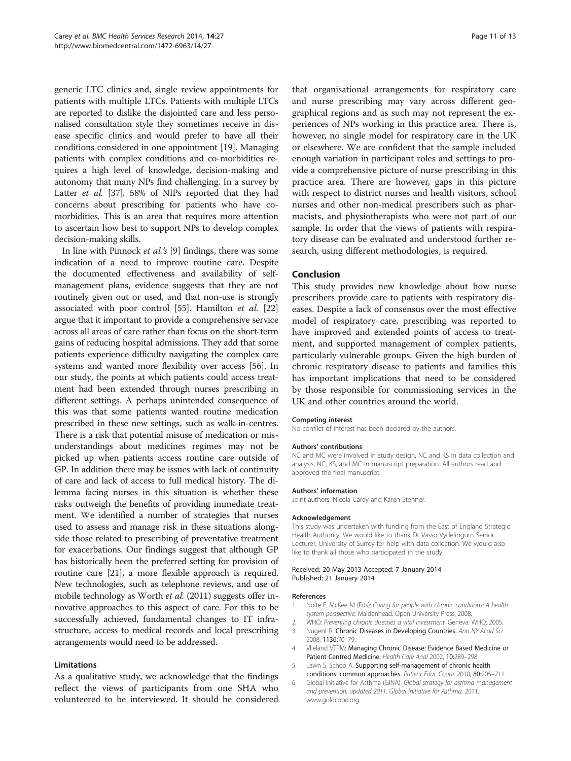<span id="page-10-0"></span>generic LTC clinics and, single review appointments for patients with multiple LTCs. Patients with multiple LTCs are reported to dislike the disjointed care and less personalised consultation style they sometimes receive in disease specific clinics and would prefer to have all their conditions considered in one appointment [[19\]](#page-11-0). Managing patients with complex conditions and co-morbidities requires a high level of knowledge, decision-making and autonomy that many NPs find challenging. In a survey by Latter et al. [[37](#page-11-0)], 58% of NIPs reported that they had concerns about prescribing for patients who have comorbidities. This is an area that requires more attention to ascertain how best to support NPs to develop complex decision-making skills.

In line with Pinnock et al.'s [\[9](#page-11-0)] findings, there was some indication of a need to improve routine care. Despite the documented effectiveness and availability of selfmanagement plans, evidence suggests that they are not routinely given out or used, and that non-use is strongly associated with poor control [\[55\]](#page-12-0). Hamilton et al. [[22](#page-11-0)] argue that it important to provide a comprehensive service across all areas of care rather than focus on the short-term gains of reducing hospital admissions. They add that some patients experience difficulty navigating the complex care systems and wanted more flexibility over access [\[56\]](#page-12-0). In our study, the points at which patients could access treatment had been extended through nurses prescribing in different settings. A perhaps unintended consequence of this was that some patients wanted routine medication prescribed in these new settings, such as walk-in-centres. There is a risk that potential misuse of medication or misunderstandings about medicines regimes may not be picked up when patients access routine care outside of GP. In addition there may be issues with lack of continuity of care and lack of access to full medical history. The dilemma facing nurses in this situation is whether these risks outweigh the benefits of providing immediate treatment. We identified a number of strategies that nurses used to assess and manage risk in these situations alongside those related to prescribing of preventative treatment for exacerbations. Our findings suggest that although GP has historically been the preferred setting for provision of routine care [[21](#page-11-0)], a more flexible approach is required. New technologies, such as telephone reviews, and use of mobile technology as Worth et al. (2011) suggests offer innovative approaches to this aspect of care. For this to be successfully achieved, fundamental changes to IT infrastructure, access to medical records and local prescribing arrangements would need to be addressed.

#### Limitations

As a qualitative study, we acknowledge that the findings reflect the views of participants from one SHA who volunteered to be interviewed. It should be considered that organisational arrangements for respiratory care and nurse prescribing may vary across different geographical regions and as such may not represent the experiences of NPs working in this practice area. There is, however, no single model for respiratory care in the UK or elsewhere. We are confident that the sample included enough variation in participant roles and settings to provide a comprehensive picture of nurse prescribing in this practice area. There are however, gaps in this picture with respect to district nurses and health visitors, school nurses and other non-medical prescribers such as pharmacists, and physiotherapists who were not part of our sample. In order that the views of patients with respiratory disease can be evaluated and understood further research, using different methodologies, is required.

## Conclusion

This study provides new knowledge about how nurse prescribers provide care to patients with respiratory diseases. Despite a lack of consensus over the most effective model of respiratory care, prescribing was reported to have improved and extended points of access to treatment, and supported management of complex patients, particularly vulnerable groups. Given the high burden of chronic respiratory disease to patients and families this has important implications that need to be considered by those responsible for commissioning services in the UK and other countries around the world.

#### Competing interest

No conflict of interest has been declared by the authors.

#### Authors' contributions

NC and MC were involved in study design, NC and KS in data collection and analysis, NC, KS, and MC in manuscript preparation. All authors read and approved the final manuscript.

#### Authors' information

Joint authors: Nicola Carey and Karen Stenner.

#### Acknowledgement

This study was undertaken with funding from the East of England Strategic Health Authority. We would like to thank Dr Vasso Vydelingum Senior Lecturer, University of Surrey for help with data collection. We would also like to thank all those who participated in the study.

#### Received: 20 May 2013 Accepted: 7 January 2014 Published: 21 January 2014

#### References

- Nolte E, McKee M (Eds): Caring for people with chronic conditions: A health system perspective. Maidenhead: Open University Press; 2008.
- 2. WHO: Preventing chronic diseases a vital investment. Geneva: WHO; 2005.
- 3. Nugent R: Chronic Diseases in Developing Countries. Ann NY Acad Sci 2008, 1136:70–79.
- 4. Vlieland VTPM: Managing Chronic Disease: Evidence Based Medicine or Patient Centred Medicine. Health Care Anal 2002, 10:289–298.
- 5. Lawn S, Schoo A: Supporting self-management of chronic health conditions: common approaches. Patient Educ Couns 2010, 80:205–211.
- 6. Global Initiative for Asthma (GINA): Global strategy for asthma management and prevention: updated 2011: Global Initiative for Asthma. 2011. [www.goldcopd.org.](http://www.goldcopd.org)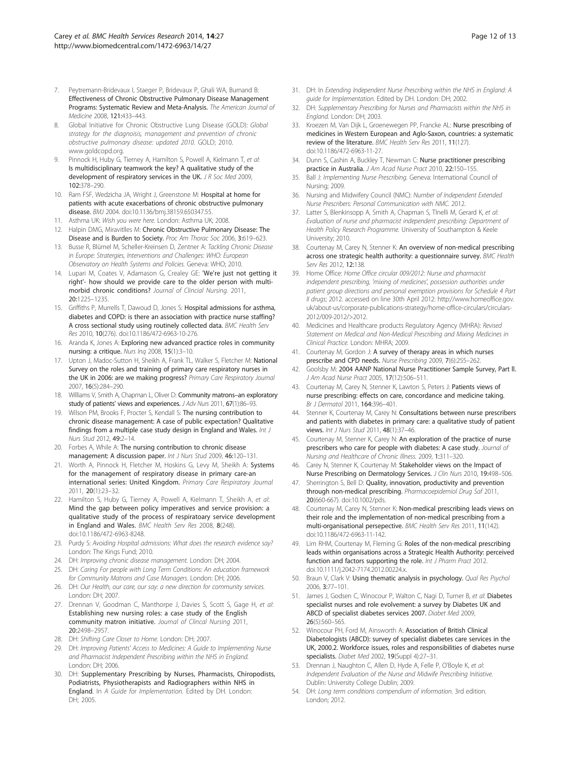- <span id="page-11-0"></span>7. Peytremann-Bridevaux I, Staeger P, Bridevaux P, Ghali WA, Burnand B: Effectiveness of Chronic Obstructive Pulmonary Disease Management Programs: Systematic Review and Meta-Analysis. The American Journal of Medicine 2008, 121:433–443.
- 8. Global Initiative for Chronic Obstructive Lung Disease (GOLD): Global strategy for the diagnoisis, management and prevention of chronic obstructive pulmonary disease: updated 2010. GOLD; 2010. [www.goldcopd.org](http://www.goldcopd.org).
- Pinnock H, Huby G, Tierney A, Hamilton S, Powell A, Kielmann T, et al: Is multidisciplinary teamwork the key? A qualitative study of the development of respiratory services in the UK. J R Soc Med 2009, 102:378–290.
- 10. Ram FSF, Wedzicha JA, Wright J, Greenstone M: Hospital at home for patients with acute exacerbations of chronic obstructive pulmonary disease. BMJ 2004. doi:10.1136/bmj.38159.650347.55.
- 11. Asthma UK: Wish you were here. London: Asthma UK; 2008.
- 12. Halpin DMG, Miravitlles M: Chronic Obstructive Pulmonary Disease: The Disease and is Burden to Society. Proc Am Thorac Soc 2006, 3:619–623.
- 13. Busse R, Blümel M, Scheller-Kreinsen D, Zentner A: Tackling Chronic Disease in Europe: Stratergies, Interventions and Challenges: WHO: European Observatory on Health Systems and Policies. Geneva: WHO; 2010.
- 14. Lupari M, Coates V, Adamason G, Crealey GE: 'We're just not getting it right'- how should we provide care to the older person with multimorbid chronic conditions? Journal of Clincial Nursing. 2011, 20:1225–1235.
- 15. Griffiths P, Murrells T, Dawoud D, Jones S: Hospital admissions for asthma, diabetes and COPD: is there an association with practice nurse staffing? A cross sectional study using routinely collected data. BMC Health Serv Res 2010, 10(276). doi:10.1186/472-6963-10-276.
- 16. Aranda K, Jones A: Exploring new advanced practice roles in community nursing: a critique. Nurs Inq 2008, 15(1):3–10.
- 17. Upton J, Madoc-Sutton H, Sheikh A, Frank TL, Walker S, Fletcher M: National Survey on the roles and training of primary care respiratory nurses in the UK in 2006: are we making progress? Primary Care Respiratory Journal 2007, 16(5):284–290.
- 18. Williams V, Smith A, Chapman L, Oliver D: Community matrons-an exploratory study of patients' views and experiences. J Adv Nurs 2011, 67(1):86–93.
- 19. Wilson PM, Brooks F, Procter S, Kendall S: The nursing contribution to chronic disease management: A case of public expectation? Qualitative findings from a multiple case study design in England and Wales. Int J Nurs Stud 2012, 49:2–14.
- 20. Forbes A, While A: The nursing contribution to chronic disease management: A discussion paper. Int J Nurs Stud 2009, 46:120-131.
- 21. Worth A, Pinnock H, Fletcher M, Hoskins G, Levy M, Sheikh A: Systems for the management of respiratory disease in primary care-an international series: United Kingdom. Primary Care Respiratory Journal 2011, 20(1):23–32.
- 22. Hamilton S, Huby G, Tierney A, Powell A, Kielmann T, Sheikh A, et al: Mind the gap between policy imperatives and service provision: a qualitative study of the process of respiratoary service development in England and Wales. BMC Health Serv Res 2008, 8(248). doi:10.1186/472-6963-8248.
- 23. Purdy S: Avoiding Hospital admissions: What does the research evidence say? London: The Kings Fund; 2010.
- 24. DH: Improving chronic disease management. London: DH; 2004.
- 25. DH: Caring For people with Long Term Conditions: An education framework for Community Matrons and Case Managers. London: DH; 2006.
- 26. DH: Our Health, our care, our say: a new direction for community services. London: DH; 2007.
- 27. Drennan V, Goodman C, Manthorpe J, Davies S, Scott S, Gage H, et al: Establishing new nursing roles: a case study of the English community matron initiative. Journal of Clincal Nursing 2011, 20:2498–2957.
- 28. DH: Shifting Care Closer to Home. London: DH; 2007.
- 29. DH: Improving Patients' Access to Medicines: A Guide to Implementing Nurse and Pharmacist Independent Prescribing within the NHS in England. London: DH; 2006.
- 30. DH: Supplementary Prescribing by Nurses, Pharmacists, Chiropodists, Podiatrists, Physiotherapists and Radiographers within NHS in England. In A Guide for Implementation. Edited by DH. London: DH; 2005.
- 31. DH: In Extending Independent Nurse Prescribing within the NHS in England: A guide for Implementation. Edited by DH. London: DH; 2002.
- 32. DH: Supplementary Prescribing for Nurses and Pharmacists within the NHS in England. London: DH; 2003.
- 33. Kroezen M, Van Dijk L, Groenewegen PP, Francke AL: Nurse prescribing of medicines in Western European and Aglo-Saxon, countries: a systematic review of the literature. BMC Health Serv Res 2011, 11(127). doi:10.1186/472-6963-11-27.
- 34. Dunn S, Cashin A, Buckley T, Newman C: Nurse practitioner prescribing practice in Australia. J Am Acad Nurse Pract 2010, 22:150–155.
- 35. Ball J: Implementing Nurse Prescribing. Geneva: International Council of Nursing; 2009.
- 36. Nursing and Midwifery Council (NMC): Number of Independent Extended Nurse Prescribers: Personal Communication with NMC. 2012.
- 37. Latter S, Blenkinsopp A, Smith A, Chapman S, TInelli M, Gerard K, et al: Evaluation of nurse and pharmacist independent prescribing: Department of Health Policy Research Programme. University of Southampton & Keele University; 2010.
- 38. Courtenay M, Carey N, Stenner K: An overview of non-medical prescribing across one strategic health authority: a questionnaire survey. BMC Health Serv Res 2012, 12:138.
- 39. Home Office: Home Office circular 009/2012: Nurse and pharmacist independent prescribing, 'mixing of medicines', possession authorities under patient group directions and personal exemption provisions for Schedule 4 Part II drugs; 2012. accessed on line 30th April 2012: [http://www.homeoffice.gov.](http://www.homeoffice.gov.uk/about-us/corporate-publications-strategy/home-office-circulars/circulars-2012/009-2012/>2012) [uk/about-us/corporate-publications-strategy/home-office-circulars/circulars-](http://www.homeoffice.gov.uk/about-us/corporate-publications-strategy/home-office-circulars/circulars-2012/009-2012/>2012)[2012/009-2012/>2012](http://www.homeoffice.gov.uk/about-us/corporate-publications-strategy/home-office-circulars/circulars-2012/009-2012/>2012).
- 40. Medicines and Healthcare products Regulatory Agency (MHRA): Revised Statement on Medical and Non-Medical Prescribing and Mixing Medicines in Clinical Practice. London: MHRA; 2009.
- 41. Courtenay M, Gordon J: A survey of therapy areas in which nurses prescribe and CPD needs. Nurse Prescribing 2009, 7(6):255–262.
- 42. Goolsby M: 2004 AANP National Nurse Practitioner Sample Survey, Part ll. J Am Acad Nurse Pract 2005, 17(12):506–511.
- 43. Courtenay M, Carey N, Stenner K, Lawton S, Peters J: Patients views of nurse prescribing: effects on care, concordance and medicine taking. Br J Dermatol 2011, 164:396–401.
- 44. Stenner K, Courtenay M, Carey N: Consultations between nurse prescribers and patients with diabetes in primary care: a qualitative study of patient views. Int J Nurs Stud 2011, 48(1):37-46.
- 45. Courtenay M, Stenner K, Carey N: An exploration of the practice of nurse prescribers who care for people with diabetes: A case study. Journal of Nursing and Healthcare of Chronic Illness. 2009, 1:311–320.
- 46. Carey N, Stenner K, Courtenay M: Stakeholder views on the Impact of Nurse Prescribing on Dermatology Services. J Clin Nurs 2010, 19:498–506.
- 47. Sherrington S, Bell D: Quality, innovation, productivity and prevention through non-medical prescribing. Pharmacoepidemiol Drug Saf 2011, 20(660-667). doi:10.1002/pds.
- 48. Courtenay M, Carey N, Stenner K: Non-medical prescribing leads views on their role and the implementation of non-medical prescribing from a multi-organisational persepective. BMC Health Serv Res 2011, 11(142). doi:10.1186/472-6963-11-142.
- 49. Lim RHM, Courtenay M, Fleming G: Roles of the non-medical prescribing leads within organisations across a Strategic Health Authority: perceived function and factors supporting the role. Int J Pharm Pract 2012. doi.10.1111/j.2042-7174.2012.00224.x.
- 50. Braun V, Clark V: Using thematic analysis in psychology. Qual Res Psychol 2006, 3:77–101.
- 51. James J, Godsen C, Winocour P, Walton C, Nagi D, Turner B, et al: Diabetes specialist nurses and role evolvement: a survey by Diabetes UK and ABCD of specialist diabetes services 2007. Diabet Med 2009, 26(5):560–565.
- 52. Winocour PH, Ford M, Ainsworth A: Association of British Clinical Diabetologists (ABCD): survey of specialist diabetes care services in the UK, 2000.2. Workforce issues, roles and responsibilities of diabetes nurse specialists. Diabet Med 2002, 19(Suppl 4):27-31.
- 53. Drennan J, Naughton C, Allen D, Hyde A, Felle P, O'Boyle K, et al: Independent Evaluation of the Nurse and Midwife Prescribing Initiative. Dublin: University College Dublin; 2009.
- 54. DH: Long term conditions compendium of information. 3rd edition. London; 2012.